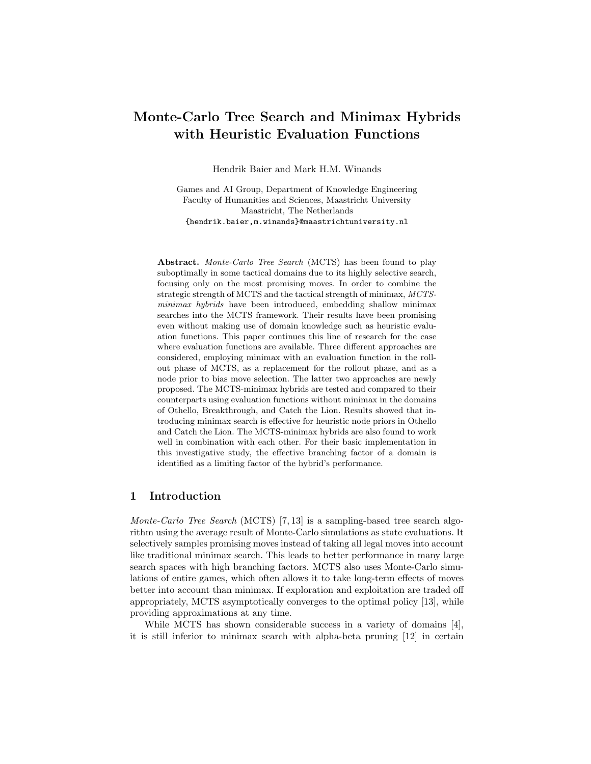# Monte-Carlo Tree Search and Minimax Hybrids with Heuristic Evaluation Functions

Hendrik Baier and Mark H.M. Winands

Games and AI Group, Department of Knowledge Engineering Faculty of Humanities and Sciences, Maastricht University Maastricht, The Netherlands {hendrik.baier,m.winands}@maastrichtuniversity.nl

Abstract. Monte-Carlo Tree Search (MCTS) has been found to play suboptimally in some tactical domains due to its highly selective search, focusing only on the most promising moves. In order to combine the strategic strength of MCTS and the tactical strength of minimax, MCTSminimax hybrids have been introduced, embedding shallow minimax searches into the MCTS framework. Their results have been promising even without making use of domain knowledge such as heuristic evaluation functions. This paper continues this line of research for the case where evaluation functions are available. Three different approaches are considered, employing minimax with an evaluation function in the rollout phase of MCTS, as a replacement for the rollout phase, and as a node prior to bias move selection. The latter two approaches are newly proposed. The MCTS-minimax hybrids are tested and compared to their counterparts using evaluation functions without minimax in the domains of Othello, Breakthrough, and Catch the Lion. Results showed that introducing minimax search is effective for heuristic node priors in Othello and Catch the Lion. The MCTS-minimax hybrids are also found to work well in combination with each other. For their basic implementation in this investigative study, the effective branching factor of a domain is identified as a limiting factor of the hybrid's performance.

# 1 Introduction

Monte-Carlo Tree Search (MCTS) [7, 13] is a sampling-based tree search algorithm using the average result of Monte-Carlo simulations as state evaluations. It selectively samples promising moves instead of taking all legal moves into account like traditional minimax search. This leads to better performance in many large search spaces with high branching factors. MCTS also uses Monte-Carlo simulations of entire games, which often allows it to take long-term effects of moves better into account than minimax. If exploration and exploitation are traded off appropriately, MCTS asymptotically converges to the optimal policy [13], while providing approximations at any time.

While MCTS has shown considerable success in a variety of domains [4], it is still inferior to minimax search with alpha-beta pruning [12] in certain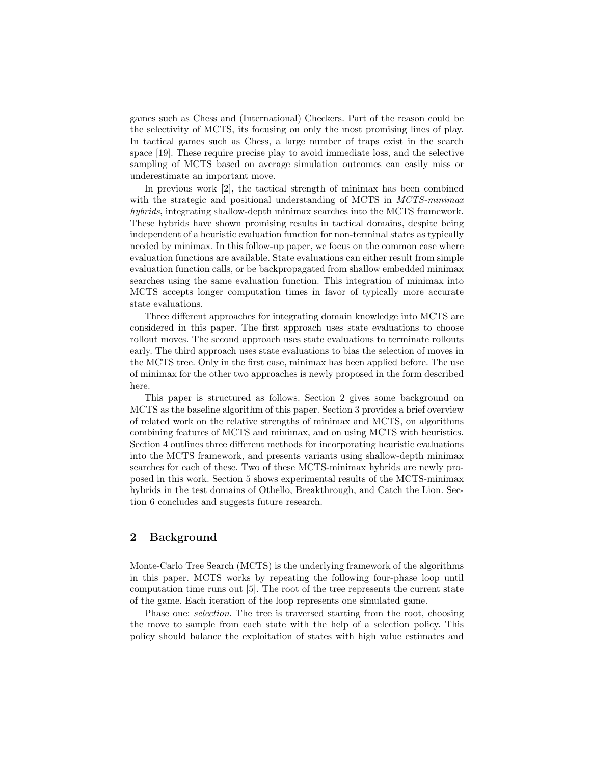games such as Chess and (International) Checkers. Part of the reason could be the selectivity of MCTS, its focusing on only the most promising lines of play. In tactical games such as Chess, a large number of traps exist in the search space [19]. These require precise play to avoid immediate loss, and the selective sampling of MCTS based on average simulation outcomes can easily miss or underestimate an important move.

In previous work [2], the tactical strength of minimax has been combined with the strategic and positional understanding of MCTS in *MCTS-minimax* hybrids, integrating shallow-depth minimax searches into the MCTS framework. These hybrids have shown promising results in tactical domains, despite being independent of a heuristic evaluation function for non-terminal states as typically needed by minimax. In this follow-up paper, we focus on the common case where evaluation functions are available. State evaluations can either result from simple evaluation function calls, or be backpropagated from shallow embedded minimax searches using the same evaluation function. This integration of minimax into MCTS accepts longer computation times in favor of typically more accurate state evaluations.

Three different approaches for integrating domain knowledge into MCTS are considered in this paper. The first approach uses state evaluations to choose rollout moves. The second approach uses state evaluations to terminate rollouts early. The third approach uses state evaluations to bias the selection of moves in the MCTS tree. Only in the first case, minimax has been applied before. The use of minimax for the other two approaches is newly proposed in the form described here.

This paper is structured as follows. Section 2 gives some background on MCTS as the baseline algorithm of this paper. Section 3 provides a brief overview of related work on the relative strengths of minimax and MCTS, on algorithms combining features of MCTS and minimax, and on using MCTS with heuristics. Section 4 outlines three different methods for incorporating heuristic evaluations into the MCTS framework, and presents variants using shallow-depth minimax searches for each of these. Two of these MCTS-minimax hybrids are newly proposed in this work. Section 5 shows experimental results of the MCTS-minimax hybrids in the test domains of Othello, Breakthrough, and Catch the Lion. Section 6 concludes and suggests future research.

## 2 Background

Monte-Carlo Tree Search (MCTS) is the underlying framework of the algorithms in this paper. MCTS works by repeating the following four-phase loop until computation time runs out [5]. The root of the tree represents the current state of the game. Each iteration of the loop represents one simulated game.

Phase one: selection. The tree is traversed starting from the root, choosing the move to sample from each state with the help of a selection policy. This policy should balance the exploitation of states with high value estimates and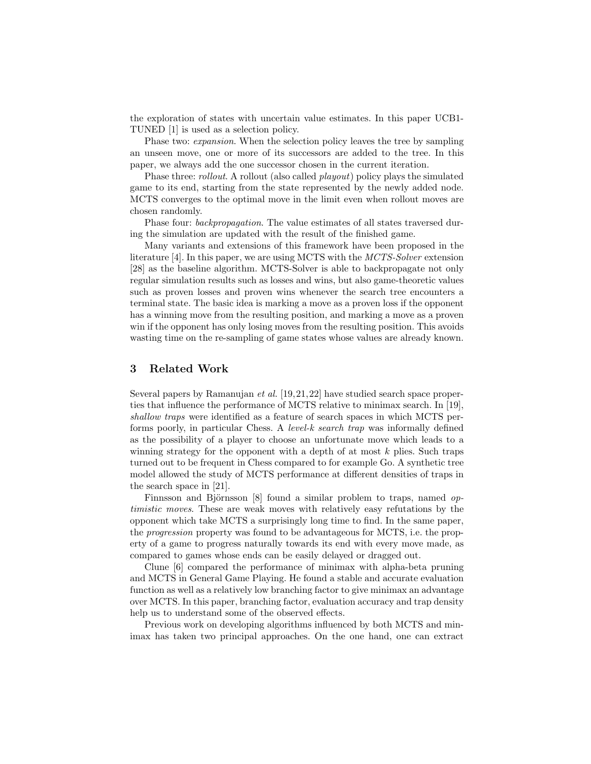the exploration of states with uncertain value estimates. In this paper UCB1- TUNED [1] is used as a selection policy.

Phase two: expansion. When the selection policy leaves the tree by sampling an unseen move, one or more of its successors are added to the tree. In this paper, we always add the one successor chosen in the current iteration.

Phase three: rollout. A rollout (also called playout) policy plays the simulated game to its end, starting from the state represented by the newly added node. MCTS converges to the optimal move in the limit even when rollout moves are chosen randomly.

Phase four: backpropagation. The value estimates of all states traversed during the simulation are updated with the result of the finished game.

Many variants and extensions of this framework have been proposed in the literature [4]. In this paper, we are using MCTS with the MCTS-Solver extension [28] as the baseline algorithm. MCTS-Solver is able to backpropagate not only regular simulation results such as losses and wins, but also game-theoretic values such as proven losses and proven wins whenever the search tree encounters a terminal state. The basic idea is marking a move as a proven loss if the opponent has a winning move from the resulting position, and marking a move as a proven win if the opponent has only losing moves from the resulting position. This avoids wasting time on the re-sampling of game states whose values are already known.

## 3 Related Work

Several papers by Ramanujan et al. [19,21,22] have studied search space properties that influence the performance of MCTS relative to minimax search. In [19], shallow traps were identified as a feature of search spaces in which MCTS performs poorly, in particular Chess. A level-k search trap was informally defined as the possibility of a player to choose an unfortunate move which leads to a winning strategy for the opponent with a depth of at most  $k$  plies. Such traps turned out to be frequent in Chess compared to for example Go. A synthetic tree model allowed the study of MCTS performance at different densities of traps in the search space in [21].

Finnsson and Björnsson [8] found a similar problem to traps, named optimistic moves. These are weak moves with relatively easy refutations by the opponent which take MCTS a surprisingly long time to find. In the same paper, the progression property was found to be advantageous for MCTS, i.e. the property of a game to progress naturally towards its end with every move made, as compared to games whose ends can be easily delayed or dragged out.

Clune [6] compared the performance of minimax with alpha-beta pruning and MCTS in General Game Playing. He found a stable and accurate evaluation function as well as a relatively low branching factor to give minimax an advantage over MCTS. In this paper, branching factor, evaluation accuracy and trap density help us to understand some of the observed effects.

Previous work on developing algorithms influenced by both MCTS and minimax has taken two principal approaches. On the one hand, one can extract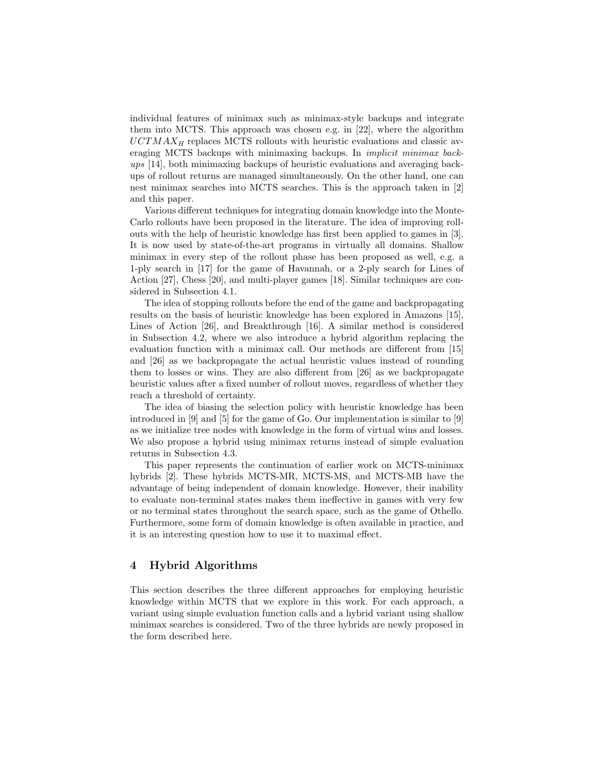individual features of minimax such as minimax-style backups and integrate them into MCTS. This approach was chosen e.g. in [22], where the algorithm  $UCTMAX_H$  replaces MCTS rollouts with heuristic evaluations and classic averaging MCTS backups with minimaxing backups. In implicit minimax backups [14], both minimaxing backups of heuristic evaluations and averaging backups of rollout returns are managed simultaneously. On the other hand, one can nest minimax searches into MCTS searches. This is the approach taken in [2] and this paper.

Various different techniques for integrating domain knowledge into the Monte-Carlo rollouts have been proposed in the literature. The idea of improving rollouts with the help of heuristic knowledge has first been applied to games in [3]. It is now used by state-of-the-art programs in virtually all domains. Shallow minimax in every step of the rollout phase has been proposed as well, e.g. a 1-ply search in [17] for the game of Havannah, or a 2-ply search for Lines of Action [27], Chess [20], and multi-player games [18]. Similar techniques are considered in Subsection 4.1.

The idea of stopping rollouts before the end of the game and backpropagating results on the basis of heuristic knowledge has been explored in Amazons [15], Lines of Action [26], and Breakthrough [16]. A similar method is considered in Subsection 4.2, where we also introduce a hybrid algorithm replacing the evaluation function with a minimax call. Our methods are different from [15] and [26] as we backpropagate the actual heuristic values instead of rounding them to losses or wins. They are also different from [26] as we backpropagate heuristic values after a fixed number of rollout moves, regardless of whether they reach a threshold of certainty.

The idea of biasing the selection policy with heuristic knowledge has been introduced in [9] and [5] for the game of Go. Our implementation is similar to [9] as we initialize tree nodes with knowledge in the form of virtual wins and losses. We also propose a hybrid using minimax returns instead of simple evaluation returns in Subsection 4.3.

This paper represents the continuation of earlier work on MCTS-minimax hybrids [2]. These hybrids MCTS-MR, MCTS-MS, and MCTS-MB have the advantage of being independent of domain knowledge. However, their inability to evaluate non-terminal states makes them ineffective in games with very few or no terminal states throughout the search space, such as the game of Othello. Furthermore, some form of domain knowledge is often available in practice, and it is an interesting question how to use it to maximal effect.

## 4 Hybrid Algorithms

This section describes the three different approaches for employing heuristic knowledge within MCTS that we explore in this work. For each approach, a variant using simple evaluation function calls and a hybrid variant using shallow minimax searches is considered. Two of the three hybrids are newly proposed in the form described here.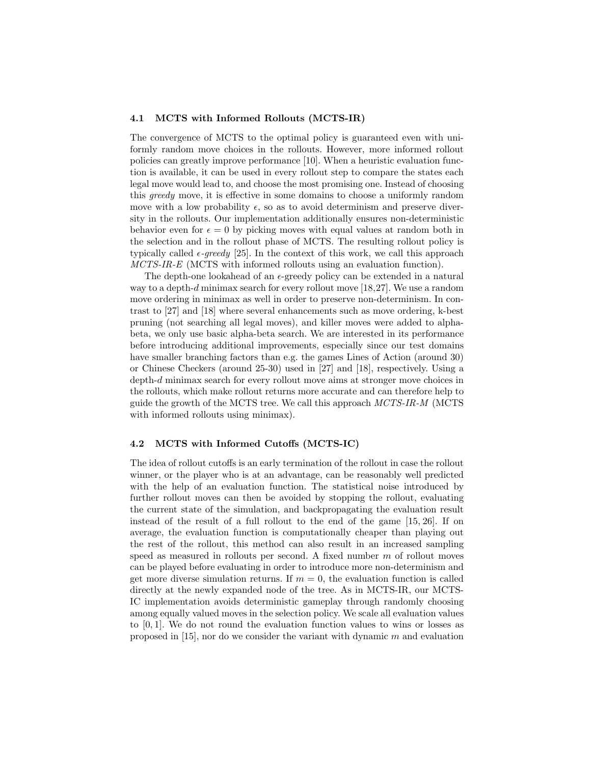#### 4.1 MCTS with Informed Rollouts (MCTS-IR)

The convergence of MCTS to the optimal policy is guaranteed even with uniformly random move choices in the rollouts. However, more informed rollout policies can greatly improve performance [10]. When a heuristic evaluation function is available, it can be used in every rollout step to compare the states each legal move would lead to, and choose the most promising one. Instead of choosing this greedy move, it is effective in some domains to choose a uniformly random move with a low probability  $\epsilon$ , so as to avoid determinism and preserve diversity in the rollouts. Our implementation additionally ensures non-deterministic behavior even for  $\epsilon = 0$  by picking moves with equal values at random both in the selection and in the rollout phase of MCTS. The resulting rollout policy is typically called  $\epsilon$ -greedy [25]. In the context of this work, we call this approach MCTS-IR-E (MCTS with informed rollouts using an evaluation function).

The depth-one lookahead of an  $\epsilon$ -greedy policy can be extended in a natural way to a depth-d minimax search for every rollout move [18,27]. We use a random move ordering in minimax as well in order to preserve non-determinism. In contrast to [27] and [18] where several enhancements such as move ordering, k-best pruning (not searching all legal moves), and killer moves were added to alphabeta, we only use basic alpha-beta search. We are interested in its performance before introducing additional improvements, especially since our test domains have smaller branching factors than e.g. the games Lines of Action (around 30) or Chinese Checkers (around 25-30) used in [27] and [18], respectively. Using a depth-d minimax search for every rollout move aims at stronger move choices in the rollouts, which make rollout returns more accurate and can therefore help to guide the growth of the MCTS tree. We call this approach MCTS-IR-M (MCTS with informed rollouts using minimax).

## 4.2 MCTS with Informed Cutoffs (MCTS-IC)

The idea of rollout cutoffs is an early termination of the rollout in case the rollout winner, or the player who is at an advantage, can be reasonably well predicted with the help of an evaluation function. The statistical noise introduced by further rollout moves can then be avoided by stopping the rollout, evaluating the current state of the simulation, and backpropagating the evaluation result instead of the result of a full rollout to the end of the game [15, 26]. If on average, the evaluation function is computationally cheaper than playing out the rest of the rollout, this method can also result in an increased sampling speed as measured in rollouts per second. A fixed number m of rollout moves can be played before evaluating in order to introduce more non-determinism and get more diverse simulation returns. If  $m = 0$ , the evaluation function is called directly at the newly expanded node of the tree. As in MCTS-IR, our MCTS-IC implementation avoids deterministic gameplay through randomly choosing among equally valued moves in the selection policy. We scale all evaluation values to [0, 1]. We do not round the evaluation function values to wins or losses as proposed in  $[15]$ , nor do we consider the variant with dynamic m and evaluation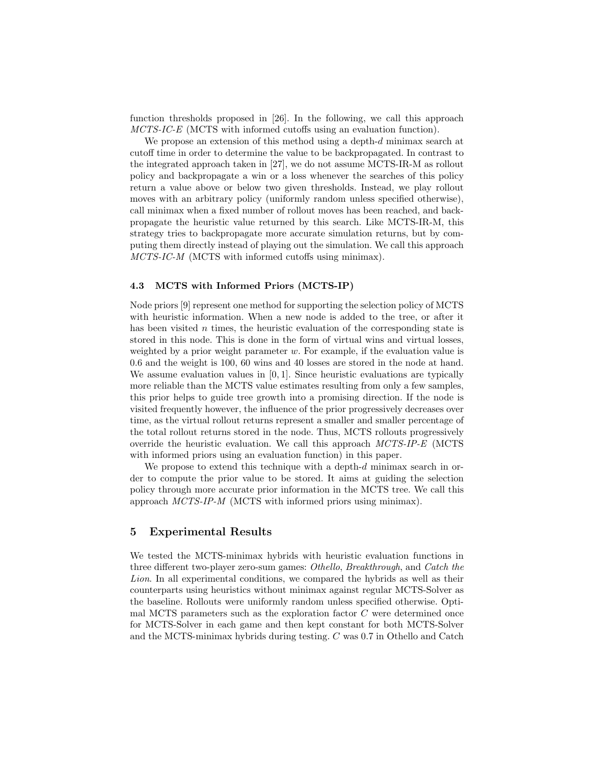function thresholds proposed in [26]. In the following, we call this approach MCTS-IC-E (MCTS with informed cutoffs using an evaluation function).

We propose an extension of this method using a depth- $d$  minimax search at cutoff time in order to determine the value to be backpropagated. In contrast to the integrated approach taken in [27], we do not assume MCTS-IR-M as rollout policy and backpropagate a win or a loss whenever the searches of this policy return a value above or below two given thresholds. Instead, we play rollout moves with an arbitrary policy (uniformly random unless specified otherwise), call minimax when a fixed number of rollout moves has been reached, and backpropagate the heuristic value returned by this search. Like MCTS-IR-M, this strategy tries to backpropagate more accurate simulation returns, but by computing them directly instead of playing out the simulation. We call this approach MCTS-IC-M (MCTS with informed cutoffs using minimax).

#### 4.3 MCTS with Informed Priors (MCTS-IP)

Node priors [9] represent one method for supporting the selection policy of MCTS with heuristic information. When a new node is added to the tree, or after it has been visited  $n$  times, the heuristic evaluation of the corresponding state is stored in this node. This is done in the form of virtual wins and virtual losses, weighted by a prior weight parameter  $w$ . For example, if the evaluation value is 0.6 and the weight is 100, 60 wins and 40 losses are stored in the node at hand. We assume evaluation values in  $[0, 1]$ . Since heuristic evaluations are typically more reliable than the MCTS value estimates resulting from only a few samples, this prior helps to guide tree growth into a promising direction. If the node is visited frequently however, the influence of the prior progressively decreases over time, as the virtual rollout returns represent a smaller and smaller percentage of the total rollout returns stored in the node. Thus, MCTS rollouts progressively override the heuristic evaluation. We call this approach MCTS-IP-E (MCTS with informed priors using an evaluation function) in this paper.

We propose to extend this technique with a depth-d minimax search in order to compute the prior value to be stored. It aims at guiding the selection policy through more accurate prior information in the MCTS tree. We call this approach  $MCTS$ -IP-M (MCTS with informed priors using minimax).

## 5 Experimental Results

We tested the MCTS-minimax hybrids with heuristic evaluation functions in three different two-player zero-sum games: Othello, Breakthrough, and Catch the Lion. In all experimental conditions, we compared the hybrids as well as their counterparts using heuristics without minimax against regular MCTS-Solver as the baseline. Rollouts were uniformly random unless specified otherwise. Optimal MCTS parameters such as the exploration factor C were determined once for MCTS-Solver in each game and then kept constant for both MCTS-Solver and the MCTS-minimax hybrids during testing. C was 0.7 in Othello and Catch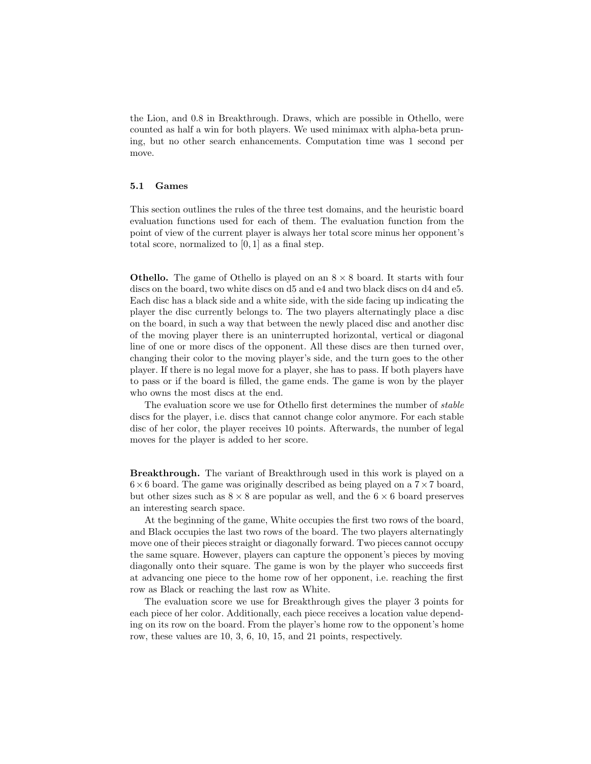the Lion, and 0.8 in Breakthrough. Draws, which are possible in Othello, were counted as half a win for both players. We used minimax with alpha-beta pruning, but no other search enhancements. Computation time was 1 second per move.

## 5.1 Games

This section outlines the rules of the three test domains, and the heuristic board evaluation functions used for each of them. The evaluation function from the point of view of the current player is always her total score minus her opponent's total score, normalized to [0, 1] as a final step.

**Othello.** The game of Othello is played on an  $8 \times 8$  board. It starts with four discs on the board, two white discs on d5 and e4 and two black discs on d4 and e5. Each disc has a black side and a white side, with the side facing up indicating the player the disc currently belongs to. The two players alternatingly place a disc on the board, in such a way that between the newly placed disc and another disc of the moving player there is an uninterrupted horizontal, vertical or diagonal line of one or more discs of the opponent. All these discs are then turned over, changing their color to the moving player's side, and the turn goes to the other player. If there is no legal move for a player, she has to pass. If both players have to pass or if the board is filled, the game ends. The game is won by the player who owns the most discs at the end.

The evaluation score we use for Othello first determines the number of *stable* discs for the player, i.e. discs that cannot change color anymore. For each stable disc of her color, the player receives 10 points. Afterwards, the number of legal moves for the player is added to her score.

Breakthrough. The variant of Breakthrough used in this work is played on a  $6\times6$  board. The game was originally described as being played on a  $7\times7$  board, but other sizes such as  $8 \times 8$  are popular as well, and the  $6 \times 6$  board preserves an interesting search space.

At the beginning of the game, White occupies the first two rows of the board, and Black occupies the last two rows of the board. The two players alternatingly move one of their pieces straight or diagonally forward. Two pieces cannot occupy the same square. However, players can capture the opponent's pieces by moving diagonally onto their square. The game is won by the player who succeeds first at advancing one piece to the home row of her opponent, i.e. reaching the first row as Black or reaching the last row as White.

The evaluation score we use for Breakthrough gives the player 3 points for each piece of her color. Additionally, each piece receives a location value depending on its row on the board. From the player's home row to the opponent's home row, these values are 10, 3, 6, 10, 15, and 21 points, respectively.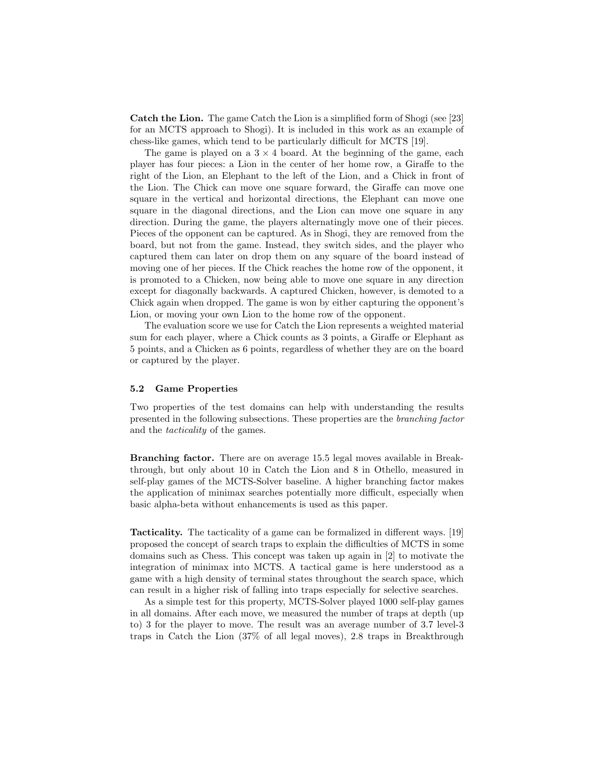Catch the Lion. The game Catch the Lion is a simplified form of Shogi (see [23] for an MCTS approach to Shogi). It is included in this work as an example of chess-like games, which tend to be particularly difficult for MCTS [19].

The game is played on a  $3 \times 4$  board. At the beginning of the game, each player has four pieces: a Lion in the center of her home row, a Giraffe to the right of the Lion, an Elephant to the left of the Lion, and a Chick in front of the Lion. The Chick can move one square forward, the Giraffe can move one square in the vertical and horizontal directions, the Elephant can move one square in the diagonal directions, and the Lion can move one square in any direction. During the game, the players alternatingly move one of their pieces. Pieces of the opponent can be captured. As in Shogi, they are removed from the board, but not from the game. Instead, they switch sides, and the player who captured them can later on drop them on any square of the board instead of moving one of her pieces. If the Chick reaches the home row of the opponent, it is promoted to a Chicken, now being able to move one square in any direction except for diagonally backwards. A captured Chicken, however, is demoted to a Chick again when dropped. The game is won by either capturing the opponent's Lion, or moving your own Lion to the home row of the opponent.

The evaluation score we use for Catch the Lion represents a weighted material sum for each player, where a Chick counts as 3 points, a Giraffe or Elephant as 5 points, and a Chicken as 6 points, regardless of whether they are on the board or captured by the player.

#### 5.2 Game Properties

Two properties of the test domains can help with understanding the results presented in the following subsections. These properties are the branching factor and the tacticality of the games.

Branching factor. There are on average 15.5 legal moves available in Breakthrough, but only about 10 in Catch the Lion and 8 in Othello, measured in self-play games of the MCTS-Solver baseline. A higher branching factor makes the application of minimax searches potentially more difficult, especially when basic alpha-beta without enhancements is used as this paper.

Tacticality. The tacticality of a game can be formalized in different ways. [19] proposed the concept of search traps to explain the difficulties of MCTS in some domains such as Chess. This concept was taken up again in [2] to motivate the integration of minimax into MCTS. A tactical game is here understood as a game with a high density of terminal states throughout the search space, which can result in a higher risk of falling into traps especially for selective searches.

As a simple test for this property, MCTS-Solver played 1000 self-play games in all domains. After each move, we measured the number of traps at depth (up to) 3 for the player to move. The result was an average number of 3.7 level-3 traps in Catch the Lion (37% of all legal moves), 2.8 traps in Breakthrough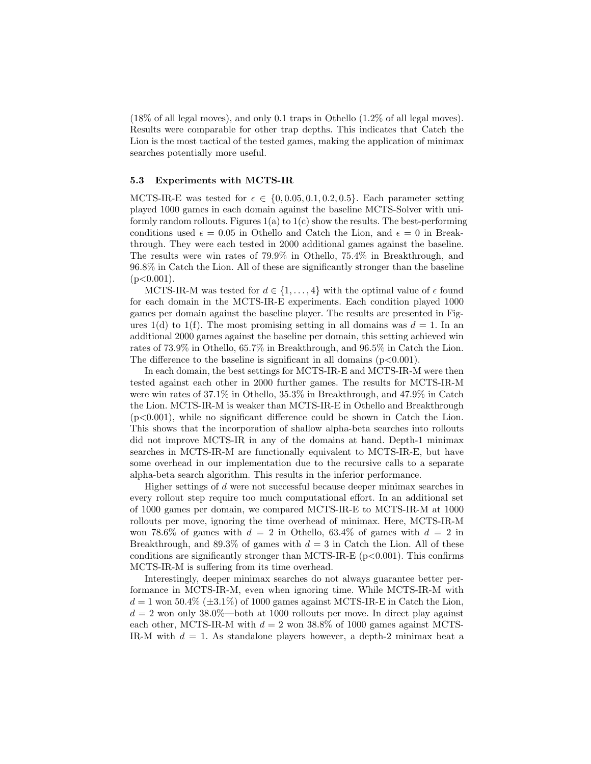(18% of all legal moves), and only 0.1 traps in Othello (1.2% of all legal moves). Results were comparable for other trap depths. This indicates that Catch the Lion is the most tactical of the tested games, making the application of minimax searches potentially more useful.

## 5.3 Experiments with MCTS-IR

MCTS-IR-E was tested for  $\epsilon \in \{0, 0.05, 0.1, 0.2, 0.5\}$ . Each parameter setting played 1000 games in each domain against the baseline MCTS-Solver with uniformly random rollouts. Figures  $1(a)$  to  $1(c)$  show the results. The best-performing conditions used  $\epsilon = 0.05$  in Othello and Catch the Lion, and  $\epsilon = 0$  in Breakthrough. They were each tested in 2000 additional games against the baseline. The results were win rates of 79.9% in Othello, 75.4% in Breakthrough, and 96.8% in Catch the Lion. All of these are significantly stronger than the baseline  $(p<0.001)$ .

MCTS-IR-M was tested for  $d \in \{1, \ldots, 4\}$  with the optimal value of  $\epsilon$  found for each domain in the MCTS-IR-E experiments. Each condition played 1000 games per domain against the baseline player. The results are presented in Figures 1(d) to 1(f). The most promising setting in all domains was  $d = 1$ . In an additional 2000 games against the baseline per domain, this setting achieved win rates of 73.9% in Othello, 65.7% in Breakthrough, and 96.5% in Catch the Lion. The difference to the baseline is significant in all domains  $(p<0.001)$ .

In each domain, the best settings for MCTS-IR-E and MCTS-IR-M were then tested against each other in 2000 further games. The results for MCTS-IR-M were win rates of 37.1% in Othello, 35.3% in Breakthrough, and 47.9% in Catch the Lion. MCTS-IR-M is weaker than MCTS-IR-E in Othello and Breakthrough  $(p<0.001)$ , while no significant difference could be shown in Catch the Lion. This shows that the incorporation of shallow alpha-beta searches into rollouts did not improve MCTS-IR in any of the domains at hand. Depth-1 minimax searches in MCTS-IR-M are functionally equivalent to MCTS-IR-E, but have some overhead in our implementation due to the recursive calls to a separate alpha-beta search algorithm. This results in the inferior performance.

Higher settings of d were not successful because deeper minimax searches in every rollout step require too much computational effort. In an additional set of 1000 games per domain, we compared MCTS-IR-E to MCTS-IR-M at 1000 rollouts per move, ignoring the time overhead of minimax. Here, MCTS-IR-M won 78.6% of games with  $d = 2$  in Othello, 63.4% of games with  $d = 2$  in Breakthrough, and 89.3% of games with  $d = 3$  in Catch the Lion. All of these conditions are significantly stronger than MCTS-IR-E  $(p<0.001)$ . This confirms MCTS-IR-M is suffering from its time overhead.

Interestingly, deeper minimax searches do not always guarantee better performance in MCTS-IR-M, even when ignoring time. While MCTS-IR-M with  $d = 1$  won 50.4% ( $\pm 3.1\%$ ) of 1000 games against MCTS-IR-E in Catch the Lion,  $d = 2$  won only 38.0%—both at 1000 rollouts per move. In direct play against each other, MCTS-IR-M with  $d = 2$  won 38.8% of 1000 games against MCTS-IR-M with  $d = 1$ . As standalone players however, a depth-2 minimax beat a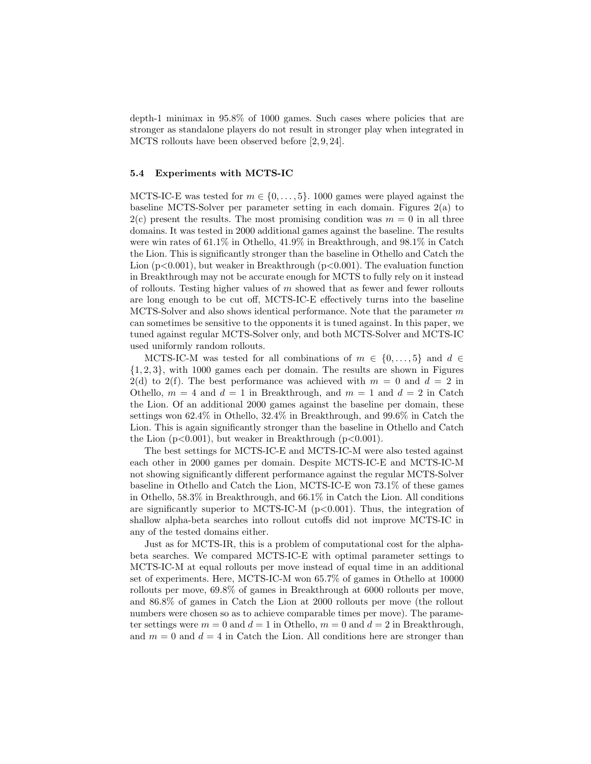depth-1 minimax in 95.8% of 1000 games. Such cases where policies that are stronger as standalone players do not result in stronger play when integrated in MCTS rollouts have been observed before [2, 9, 24].

## 5.4 Experiments with MCTS-IC

MCTS-IC-E was tested for  $m \in \{0, \ldots, 5\}$ . 1000 games were played against the baseline MCTS-Solver per parameter setting in each domain. Figures 2(a) to  $2(c)$  present the results. The most promising condition was  $m = 0$  in all three domains. It was tested in 2000 additional games against the baseline. The results were win rates of 61.1% in Othello, 41.9% in Breakthrough, and 98.1% in Catch the Lion. This is significantly stronger than the baseline in Othello and Catch the Lion  $(p<0.001)$ , but weaker in Breakthrough  $(p<0.001)$ . The evaluation function in Breakthrough may not be accurate enough for MCTS to fully rely on it instead of rollouts. Testing higher values of  $m$  showed that as fewer and fewer rollouts are long enough to be cut off, MCTS-IC-E effectively turns into the baseline MCTS-Solver and also shows identical performance. Note that the parameter  $m$ can sometimes be sensitive to the opponents it is tuned against. In this paper, we tuned against regular MCTS-Solver only, and both MCTS-Solver and MCTS-IC used uniformly random rollouts.

MCTS-IC-M was tested for all combinations of  $m \in \{0, \ldots, 5\}$  and  $d \in$ {1, 2, 3}, with 1000 games each per domain. The results are shown in Figures 2(d) to 2(f). The best performance was achieved with  $m = 0$  and  $d = 2$  in Othello,  $m = 4$  and  $d = 1$  in Breakthrough, and  $m = 1$  and  $d = 2$  in Catch the Lion. Of an additional 2000 games against the baseline per domain, these settings won 62.4% in Othello, 32.4% in Breakthrough, and 99.6% in Catch the Lion. This is again significantly stronger than the baseline in Othello and Catch the Lion  $(p<0.001)$ , but weaker in Breakthrough  $(p<0.001)$ .

The best settings for MCTS-IC-E and MCTS-IC-M were also tested against each other in 2000 games per domain. Despite MCTS-IC-E and MCTS-IC-M not showing significantly different performance against the regular MCTS-Solver baseline in Othello and Catch the Lion, MCTS-IC-E won 73.1% of these games in Othello, 58.3% in Breakthrough, and 66.1% in Catch the Lion. All conditions are significantly superior to MCTS-IC-M  $(p<0.001)$ . Thus, the integration of shallow alpha-beta searches into rollout cutoffs did not improve MCTS-IC in any of the tested domains either.

Just as for MCTS-IR, this is a problem of computational cost for the alphabeta searches. We compared MCTS-IC-E with optimal parameter settings to MCTS-IC-M at equal rollouts per move instead of equal time in an additional set of experiments. Here, MCTS-IC-M won 65.7% of games in Othello at 10000 rollouts per move, 69.8% of games in Breakthrough at 6000 rollouts per move, and 86.8% of games in Catch the Lion at 2000 rollouts per move (the rollout numbers were chosen so as to achieve comparable times per move). The parameter settings were  $m = 0$  and  $d = 1$  in Othello,  $m = 0$  and  $d = 2$  in Breakthrough, and  $m = 0$  and  $d = 4$  in Catch the Lion. All conditions here are stronger than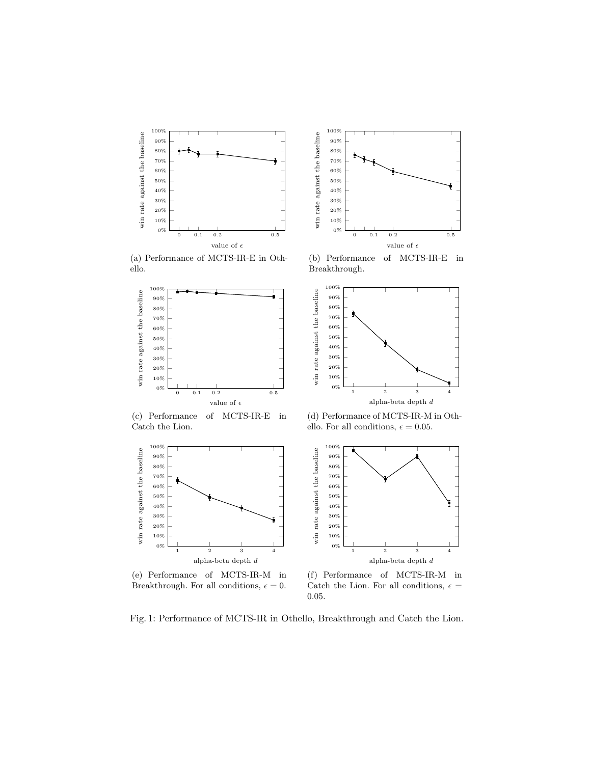



70% 80% 90% 100%

(a) Performance of MCTS-IR-E in Othello.

(b) Performance of MCTS-IR-E in Breakthrough.





(c) Performance of MCTS-IR-E in Catch the Lion.

(d) Performance of MCTS-IR-M in Othello. For all conditions,  $\epsilon = 0.05$ .



Fig. 1: Performance of MCTS-IR in Othello, Breakthrough and Catch the Lion.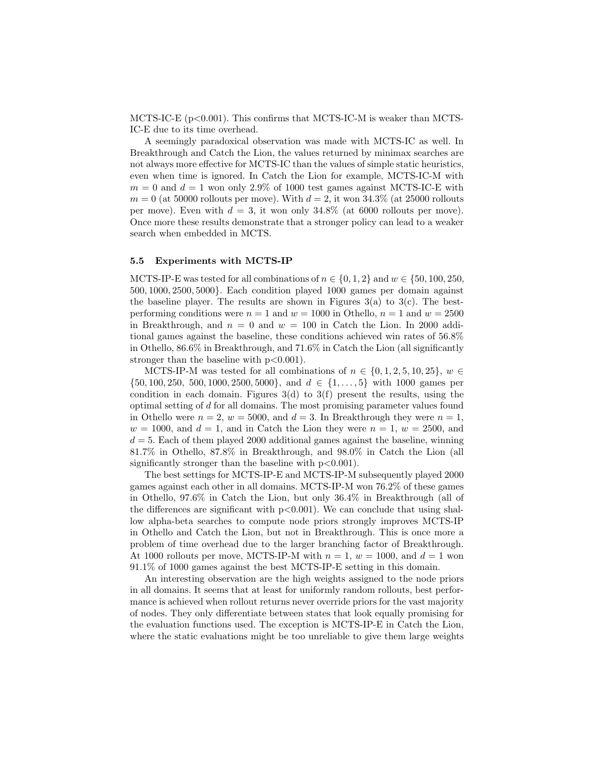MCTS-IC-E ( $p < 0.001$ ). This confirms that MCTS-IC-M is weaker than MCTS-IC-E due to its time overhead.

A seemingly paradoxical observation was made with MCTS-IC as well. In Breakthrough and Catch the Lion, the values returned by minimax searches are not always more effective for MCTS-IC than the values of simple static heuristics, even when time is ignored. In Catch the Lion for example, MCTS-IC-M with  $m = 0$  and  $d = 1$  won only 2.9% of 1000 test games against MCTS-IC-E with  $m = 0$  (at 50000 rollouts per move). With  $d = 2$ , it won 34.3% (at 25000 rollouts per move). Even with  $d = 3$ , it won only  $34.8\%$  (at 6000 rollouts per move). Once more these results demonstrate that a stronger policy can lead to a weaker search when embedded in MCTS.

#### 5.5 Experiments with MCTS-IP

MCTS-IP-E was tested for all combinations of  $n \in \{0, 1, 2\}$  and  $w \in \{50, 100, 250,$ 500, 1000, 2500, 5000}. Each condition played 1000 games per domain against the baseline player. The results are shown in Figures  $3(a)$  to  $3(c)$ . The bestperforming conditions were  $n = 1$  and  $w = 1000$  in Othello,  $n = 1$  and  $w = 2500$ in Breakthrough, and  $n = 0$  and  $w = 100$  in Catch the Lion. In 2000 additional games against the baseline, these conditions achieved win rates of 56.8% in Othello, 86.6% in Breakthrough, and 71.6% in Catch the Lion (all significantly stronger than the baseline with  $p<0.001$ .

MCTS-IP-M was tested for all combinations of  $n \in \{0, 1, 2, 5, 10, 25\}, w \in$  $\{50, 100, 250, 500, 1000, 2500, 5000\}$ , and  $d \in \{1, \ldots, 5\}$  with 1000 games per condition in each domain. Figures  $3(d)$  to  $3(f)$  present the results, using the optimal setting of d for all domains. The most promising parameter values found in Othello were  $n = 2$ ,  $w = 5000$ , and  $d = 3$ . In Breakthrough they were  $n = 1$ ,  $w = 1000$ , and  $d = 1$ , and in Catch the Lion they were  $n = 1, w = 2500$ , and  $d = 5$ . Each of them played 2000 additional games against the baseline, winning 81.7% in Othello, 87.8% in Breakthrough, and 98.0% in Catch the Lion (all significantly stronger than the baseline with  $p < 0.001$ .

The best settings for MCTS-IP-E and MCTS-IP-M subsequently played 2000 games against each other in all domains. MCTS-IP-M won 76.2% of these games in Othello, 97.6% in Catch the Lion, but only 36.4% in Breakthrough (all of the differences are significant with  $p<0.001$ ). We can conclude that using shallow alpha-beta searches to compute node priors strongly improves MCTS-IP in Othello and Catch the Lion, but not in Breakthrough. This is once more a problem of time overhead due to the larger branching factor of Breakthrough. At 1000 rollouts per move, MCTS-IP-M with  $n = 1$ ,  $w = 1000$ , and  $d = 1$  won 91.1% of 1000 games against the best MCTS-IP-E setting in this domain.

An interesting observation are the high weights assigned to the node priors in all domains. It seems that at least for uniformly random rollouts, best performance is achieved when rollout returns never override priors for the vast majority of nodes. They only differentiate between states that look equally promising for the evaluation functions used. The exception is MCTS-IP-E in Catch the Lion, where the static evaluations might be too unreliable to give them large weights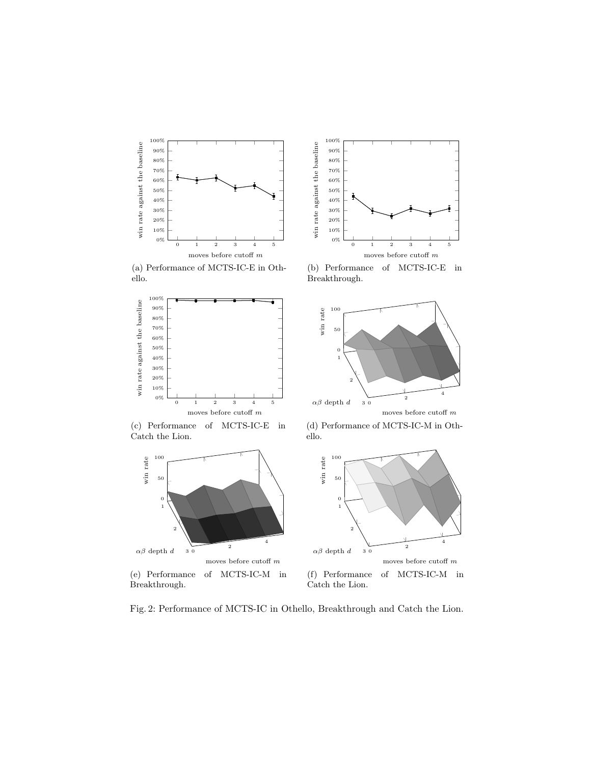



(a) Performance of MCTS-IC-E in Othello.



2 3 0  $\alpha\beta$  depth  $d$ 

1

0

50

100

win rate

Breakthrough.

(c) Performance of MCTS-IC-E in Catch the Lion.

moves before cutoff  $m$ (d) Performance of MCTS-IC-M in Othello.

2

4



Fig. 2: Performance of MCTS-IC in Othello, Breakthrough and Catch the Lion.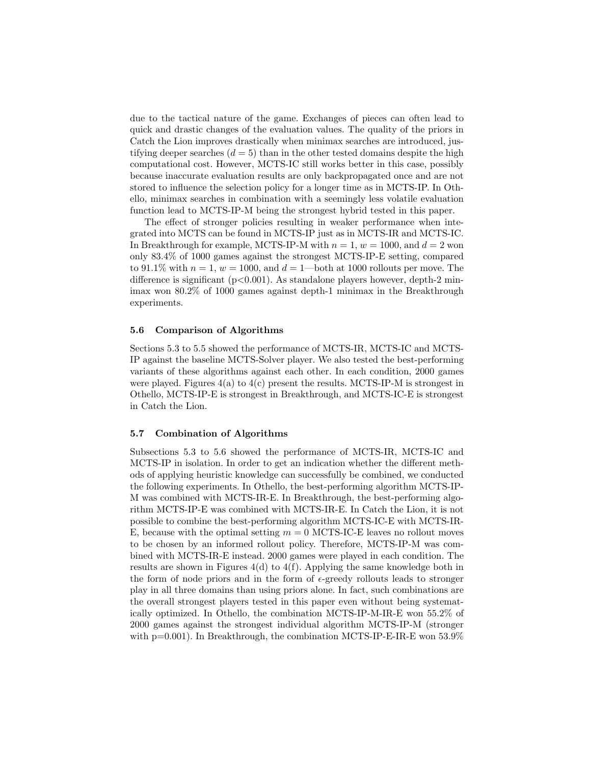due to the tactical nature of the game. Exchanges of pieces can often lead to quick and drastic changes of the evaluation values. The quality of the priors in Catch the Lion improves drastically when minimax searches are introduced, justifying deeper searches  $(d = 5)$  than in the other tested domains despite the high computational cost. However, MCTS-IC still works better in this case, possibly because inaccurate evaluation results are only backpropagated once and are not stored to influence the selection policy for a longer time as in MCTS-IP. In Othello, minimax searches in combination with a seemingly less volatile evaluation function lead to MCTS-IP-M being the strongest hybrid tested in this paper.

The effect of stronger policies resulting in weaker performance when integrated into MCTS can be found in MCTS-IP just as in MCTS-IR and MCTS-IC. In Breakthrough for example, MCTS-IP-M with  $n = 1, w = 1000$ , and  $d = 2$  won only 83.4% of 1000 games against the strongest MCTS-IP-E setting, compared to 91.1% with  $n = 1$ ,  $w = 1000$ , and  $d = 1$ —both at 1000 rollouts per move. The difference is significant ( $p<0.001$ ). As standalone players however, depth-2 minimax won 80.2% of 1000 games against depth-1 minimax in the Breakthrough experiments.

#### 5.6 Comparison of Algorithms

Sections 5.3 to 5.5 showed the performance of MCTS-IR, MCTS-IC and MCTS-IP against the baseline MCTS-Solver player. We also tested the best-performing variants of these algorithms against each other. In each condition, 2000 games were played. Figures  $4(a)$  to  $4(c)$  present the results. MCTS-IP-M is strongest in Othello, MCTS-IP-E is strongest in Breakthrough, and MCTS-IC-E is strongest in Catch the Lion.

#### 5.7 Combination of Algorithms

Subsections 5.3 to 5.6 showed the performance of MCTS-IR, MCTS-IC and MCTS-IP in isolation. In order to get an indication whether the different methods of applying heuristic knowledge can successfully be combined, we conducted the following experiments. In Othello, the best-performing algorithm MCTS-IP-M was combined with MCTS-IR-E. In Breakthrough, the best-performing algorithm MCTS-IP-E was combined with MCTS-IR-E. In Catch the Lion, it is not possible to combine the best-performing algorithm MCTS-IC-E with MCTS-IR-E, because with the optimal setting  $m = 0$  MCTS-IC-E leaves no rollout moves to be chosen by an informed rollout policy. Therefore, MCTS-IP-M was combined with MCTS-IR-E instead. 2000 games were played in each condition. The results are shown in Figures 4(d) to 4(f). Applying the same knowledge both in the form of node priors and in the form of  $\epsilon$ -greedy rollouts leads to stronger play in all three domains than using priors alone. In fact, such combinations are the overall strongest players tested in this paper even without being systematically optimized. In Othello, the combination MCTS-IP-M-IR-E won 55.2% of 2000 games against the strongest individual algorithm MCTS-IP-M (stronger with  $p=0.001$ ). In Breakthrough, the combination MCTS-IP-E-IR-E won 53.9%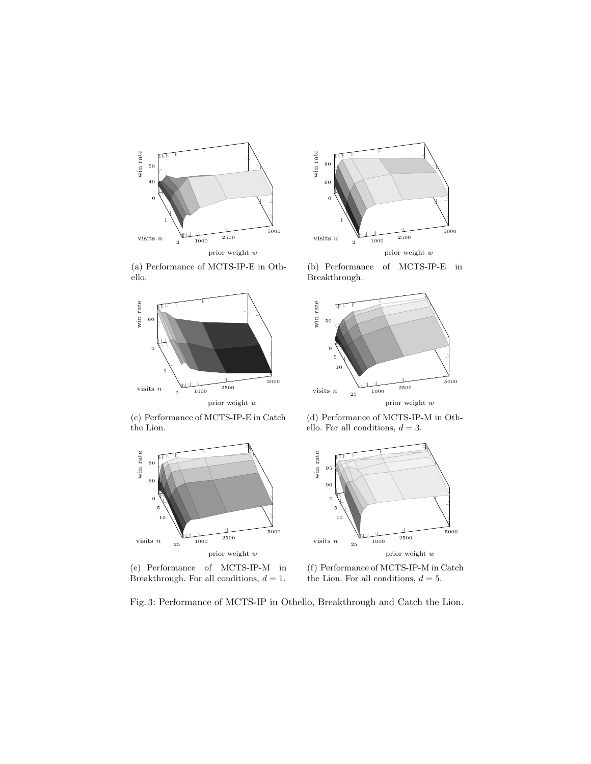

0 1 2 1000 2500 5000 60 8<sub>C</sub> visits  $\boldsymbol{n}$ prior weight w win rate

(a) Performance of MCTS-IP-E in Othello.



(b) Performance of MCTS-IP-E in Breakthrough.



(c) Performance of MCTS-IP-E in Catch the Lion.



(e) Performance of MCTS-IP-M in Breakthrough. For all conditions,  $d = 1$ .

(d) Performance of MCTS-IP-M in Othello. For all conditions,  $d = 3$ .



(f) Performance of MCTS-IP-M in Catch the Lion. For all conditions,  $d = 5$ .

Fig. 3: Performance of MCTS-IP in Othello, Breakthrough and Catch the Lion.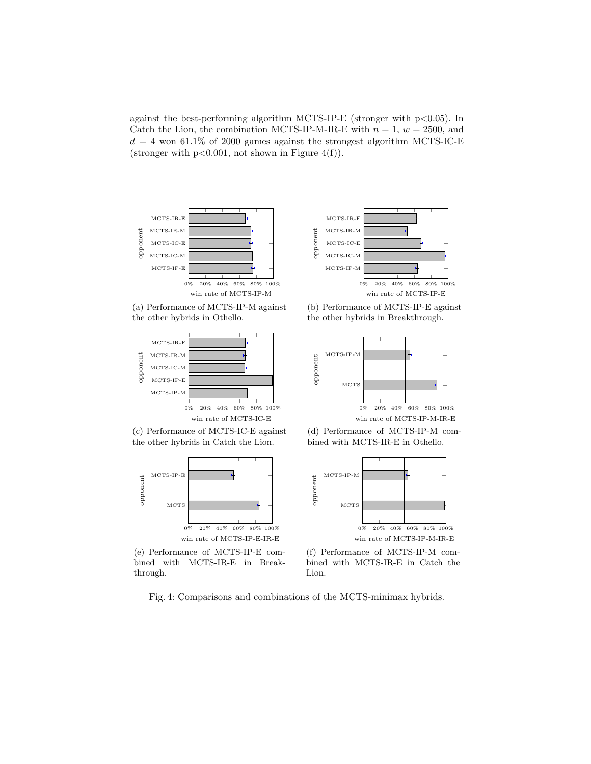against the best-performing algorithm MCTS-IP-E (stronger with  $p<0.05$ ). In Catch the Lion, the combination MCTS-IP-M-IR-E with  $n = 1, w = 2500$ , and  $d = 4$  won 61.1% of 2000 games against the strongest algorithm MCTS-IC-E (stronger with  $p<0.001$ , not shown in Figure 4(f)).



(a) Performance of MCTS-IP-M against the other hybrids in Othello.



(c) Performance of MCTS-IC-E against the other hybrids in Catch the Lion.



(e) Performance of MCTS-IP-E combined with MCTS-IR-E in Breakthrough.



(b) Performance of MCTS-IP-E against the other hybrids in Breakthrough.



(d) Performance of MCTS-IP-M combined with MCTS-IR-E in Othello.



(f) Performance of MCTS-IP-M combined with MCTS-IR-E in Catch the Lion.

Fig. 4: Comparisons and combinations of the MCTS-minimax hybrids.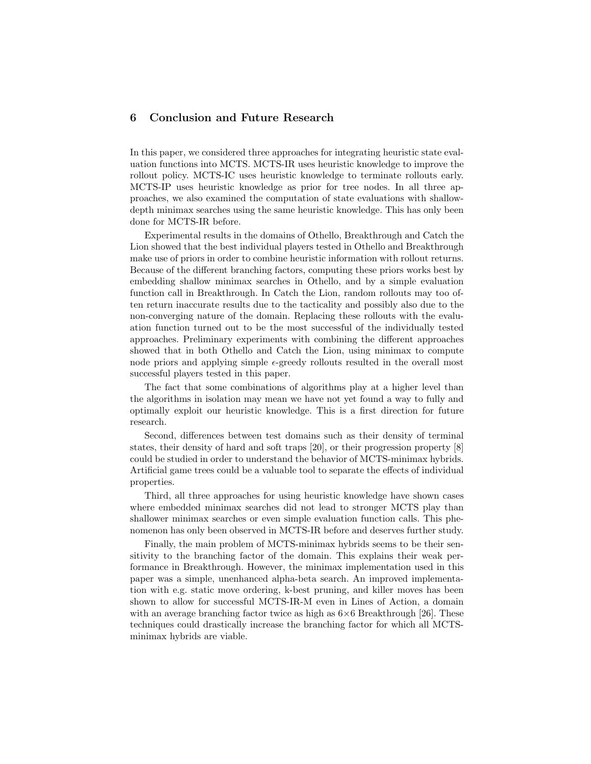# 6 Conclusion and Future Research

In this paper, we considered three approaches for integrating heuristic state evaluation functions into MCTS. MCTS-IR uses heuristic knowledge to improve the rollout policy. MCTS-IC uses heuristic knowledge to terminate rollouts early. MCTS-IP uses heuristic knowledge as prior for tree nodes. In all three approaches, we also examined the computation of state evaluations with shallowdepth minimax searches using the same heuristic knowledge. This has only been done for MCTS-IR before.

Experimental results in the domains of Othello, Breakthrough and Catch the Lion showed that the best individual players tested in Othello and Breakthrough make use of priors in order to combine heuristic information with rollout returns. Because of the different branching factors, computing these priors works best by embedding shallow minimax searches in Othello, and by a simple evaluation function call in Breakthrough. In Catch the Lion, random rollouts may too often return inaccurate results due to the tacticality and possibly also due to the non-converging nature of the domain. Replacing these rollouts with the evaluation function turned out to be the most successful of the individually tested approaches. Preliminary experiments with combining the different approaches showed that in both Othello and Catch the Lion, using minimax to compute node priors and applying simple  $\epsilon$ -greedy rollouts resulted in the overall most successful players tested in this paper.

The fact that some combinations of algorithms play at a higher level than the algorithms in isolation may mean we have not yet found a way to fully and optimally exploit our heuristic knowledge. This is a first direction for future research.

Second, differences between test domains such as their density of terminal states, their density of hard and soft traps [20], or their progression property [8] could be studied in order to understand the behavior of MCTS-minimax hybrids. Artificial game trees could be a valuable tool to separate the effects of individual properties.

Third, all three approaches for using heuristic knowledge have shown cases where embedded minimax searches did not lead to stronger MCTS play than shallower minimax searches or even simple evaluation function calls. This phenomenon has only been observed in MCTS-IR before and deserves further study.

Finally, the main problem of MCTS-minimax hybrids seems to be their sensitivity to the branching factor of the domain. This explains their weak performance in Breakthrough. However, the minimax implementation used in this paper was a simple, unenhanced alpha-beta search. An improved implementation with e.g. static move ordering, k-best pruning, and killer moves has been shown to allow for successful MCTS-IR-M even in Lines of Action, a domain with an average branching factor twice as high as  $6\times6$  Breakthrough [26]. These techniques could drastically increase the branching factor for which all MCTSminimax hybrids are viable.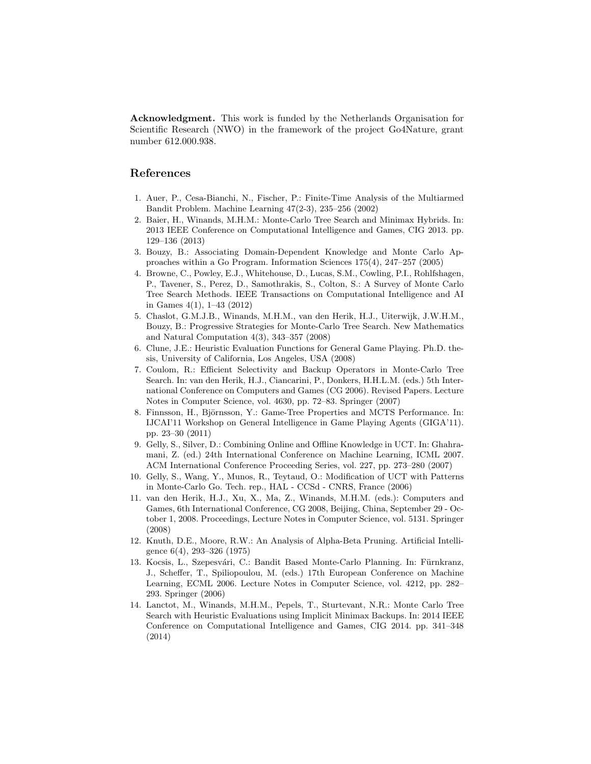Acknowledgment. This work is funded by the Netherlands Organisation for Scientific Research (NWO) in the framework of the project Go4Nature, grant number 612.000.938.

# References

- 1. Auer, P., Cesa-Bianchi, N., Fischer, P.: Finite-Time Analysis of the Multiarmed Bandit Problem. Machine Learning 47(2-3), 235–256 (2002)
- 2. Baier, H., Winands, M.H.M.: Monte-Carlo Tree Search and Minimax Hybrids. In: 2013 IEEE Conference on Computational Intelligence and Games, CIG 2013. pp. 129–136 (2013)
- 3. Bouzy, B.: Associating Domain-Dependent Knowledge and Monte Carlo Approaches within a Go Program. Information Sciences 175(4), 247–257 (2005)
- 4. Browne, C., Powley, E.J., Whitehouse, D., Lucas, S.M., Cowling, P.I., Rohlfshagen, P., Tavener, S., Perez, D., Samothrakis, S., Colton, S.: A Survey of Monte Carlo Tree Search Methods. IEEE Transactions on Computational Intelligence and AI in Games 4(1), 1–43 (2012)
- 5. Chaslot, G.M.J.B., Winands, M.H.M., van den Herik, H.J., Uiterwijk, J.W.H.M., Bouzy, B.: Progressive Strategies for Monte-Carlo Tree Search. New Mathematics and Natural Computation 4(3), 343–357 (2008)
- 6. Clune, J.E.: Heuristic Evaluation Functions for General Game Playing. Ph.D. thesis, University of California, Los Angeles, USA (2008)
- 7. Coulom, R.: Efficient Selectivity and Backup Operators in Monte-Carlo Tree Search. In: van den Herik, H.J., Ciancarini, P., Donkers, H.H.L.M. (eds.) 5th International Conference on Computers and Games (CG 2006). Revised Papers. Lecture Notes in Computer Science, vol. 4630, pp. 72–83. Springer (2007)
- 8. Finnsson, H., Björnsson, Y.: Game-Tree Properties and MCTS Performance. In: IJCAI'11 Workshop on General Intelligence in Game Playing Agents (GIGA'11). pp. 23–30 (2011)
- 9. Gelly, S., Silver, D.: Combining Online and Offline Knowledge in UCT. In: Ghahramani, Z. (ed.) 24th International Conference on Machine Learning, ICML 2007. ACM International Conference Proceeding Series, vol. 227, pp. 273–280 (2007)
- 10. Gelly, S., Wang, Y., Munos, R., Teytaud, O.: Modification of UCT with Patterns in Monte-Carlo Go. Tech. rep., HAL - CCSd - CNRS, France (2006)
- 11. van den Herik, H.J., Xu, X., Ma, Z., Winands, M.H.M. (eds.): Computers and Games, 6th International Conference, CG 2008, Beijing, China, September 29 - October 1, 2008. Proceedings, Lecture Notes in Computer Science, vol. 5131. Springer (2008)
- 12. Knuth, D.E., Moore, R.W.: An Analysis of Alpha-Beta Pruning. Artificial Intelligence 6(4), 293–326 (1975)
- 13. Kocsis, L., Szepesvári, C.: Bandit Based Monte-Carlo Planning. In: Fürnkranz, J., Scheffer, T., Spiliopoulou, M. (eds.) 17th European Conference on Machine Learning, ECML 2006. Lecture Notes in Computer Science, vol. 4212, pp. 282– 293. Springer (2006)
- 14. Lanctot, M., Winands, M.H.M., Pepels, T., Sturtevant, N.R.: Monte Carlo Tree Search with Heuristic Evaluations using Implicit Minimax Backups. In: 2014 IEEE Conference on Computational Intelligence and Games, CIG 2014. pp. 341–348 (2014)